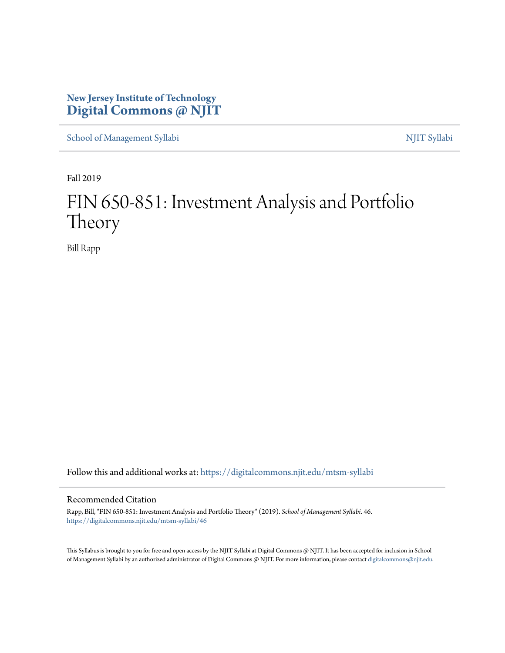# **New Jersey Institute of Technology [Digital Commons @ NJIT](https://digitalcommons.njit.edu/?utm_source=digitalcommons.njit.edu%2Fmtsm-syllabi%2F46&utm_medium=PDF&utm_campaign=PDFCoverPages)**

[School of Management Syllabi](https://digitalcommons.njit.edu/mtsm-syllabi?utm_source=digitalcommons.njit.edu%2Fmtsm-syllabi%2F46&utm_medium=PDF&utm_campaign=PDFCoverPages) [NJIT Syllabi](https://digitalcommons.njit.edu/syllabi?utm_source=digitalcommons.njit.edu%2Fmtsm-syllabi%2F46&utm_medium=PDF&utm_campaign=PDFCoverPages)

Fall 2019

# FIN 650-851: Investment Analysis and Portfolio Theory

Bill Rapp

Follow this and additional works at: [https://digitalcommons.njit.edu/mtsm-syllabi](https://digitalcommons.njit.edu/mtsm-syllabi?utm_source=digitalcommons.njit.edu%2Fmtsm-syllabi%2F46&utm_medium=PDF&utm_campaign=PDFCoverPages)

#### Recommended Citation

Rapp, Bill, "FIN 650-851: Investment Analysis and Portfolio Theory" (2019). *School of Management Syllabi*. 46. [https://digitalcommons.njit.edu/mtsm-syllabi/46](https://digitalcommons.njit.edu/mtsm-syllabi/46?utm_source=digitalcommons.njit.edu%2Fmtsm-syllabi%2F46&utm_medium=PDF&utm_campaign=PDFCoverPages)

This Syllabus is brought to you for free and open access by the NJIT Syllabi at Digital Commons @ NJIT. It has been accepted for inclusion in School of Management Syllabi by an authorized administrator of Digital Commons @ NJIT. For more information, please contact [digitalcommons@njit.edu](mailto:digitalcommons@njit.edu).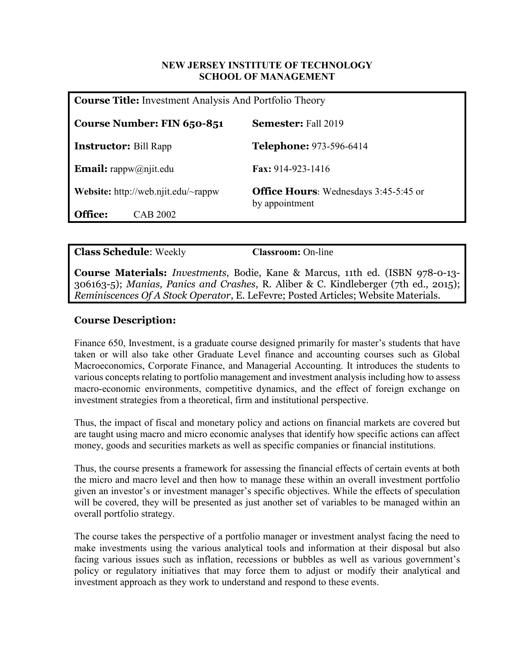#### **NEW JERSEY INSTITUTE OF TECHNOLOGY SCHOOL OF MANAGEMENT**

| <b>Course Title:</b> Investment Analysis And Portfolio Theory |                                                                |
|---------------------------------------------------------------|----------------------------------------------------------------|
| Course Number: FIN 650-851                                    | <b>Semester:</b> Fall 2019                                     |
| <b>Instructor:</b> Bill Rapp                                  | <b>Telephone: 973-596-6414</b>                                 |
| <b>Email:</b> rappw@njit.edu                                  | Fax: 914-923-1416                                              |
| <b>Website:</b> http://web.njit.edu/ $\sim$ rappw             | <b>Office Hours:</b> Wednesdays 3:45-5:45 or<br>by appointment |
| <b>Office:</b><br>CAB 2002                                    |                                                                |

**Class Schedule**: Weekly **Classroom:** On-line

**Course Materials:** *Investments*, Bodie, Kane & Marcus, 11th ed. (ISBN 978-0-13- 306163-5); *Manias, Panics and Crashes*, R. Aliber & C. Kindleberger (7th ed., 2015); *Reminiscences Of A Stock Operator*, E. LeFevre; Posted Articles; Website Materials.

# **Course Description:**

Finance 650, Investment, is a graduate course designed primarily for master's students that have taken or will also take other Graduate Level finance and accounting courses such as Global Macroeconomics, Corporate Finance, and Managerial Accounting. It introduces the students to various concepts relating to portfolio management and investment analysis including how to assess macro-economic environments, competitive dynamics, and the effect of foreign exchange on investment strategies from a theoretical, firm and institutional perspective.

Thus, the impact of fiscal and monetary policy and actions on financial markets are covered but are taught using macro and micro economic analyses that identify how specific actions can affect money, goods and securities markets as well as specific companies or financial institutions.

Thus, the course presents a framework for assessing the financial effects of certain events at both the micro and macro level and then how to manage these within an overall investment portfolio given an investor's or investment manager's specific objectives. While the effects of speculation will be covered, they will be presented as just another set of variables to be managed within an overall portfolio strategy.

The course takes the perspective of a portfolio manager or investment analyst facing the need to make investments using the various analytical tools and information at their disposal but also facing various issues such as inflation, recessions or bubbles as well as various government's policy or regulatory initiatives that may force them to adjust or modify their analytical and investment approach as they work to understand and respond to these events.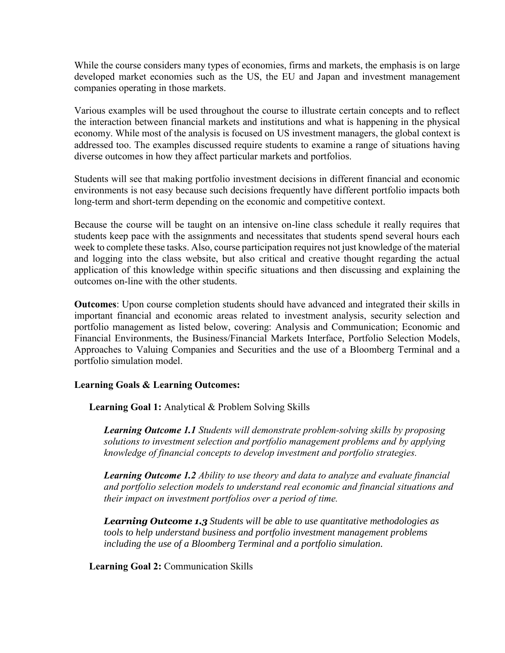While the course considers many types of economies, firms and markets, the emphasis is on large developed market economies such as the US, the EU and Japan and investment management companies operating in those markets.

Various examples will be used throughout the course to illustrate certain concepts and to reflect the interaction between financial markets and institutions and what is happening in the physical economy. While most of the analysis is focused on US investment managers, the global context is addressed too. The examples discussed require students to examine a range of situations having diverse outcomes in how they affect particular markets and portfolios.

Students will see that making portfolio investment decisions in different financial and economic environments is not easy because such decisions frequently have different portfolio impacts both long-term and short-term depending on the economic and competitive context.

Because the course will be taught on an intensive on-line class schedule it really requires that students keep pace with the assignments and necessitates that students spend several hours each week to complete these tasks. Also, course participation requires not just knowledge of the material and logging into the class website, but also critical and creative thought regarding the actual application of this knowledge within specific situations and then discussing and explaining the outcomes on-line with the other students.

**Outcomes**: Upon course completion students should have advanced and integrated their skills in important financial and economic areas related to investment analysis, security selection and portfolio management as listed below, covering: Analysis and Communication; Economic and Financial Environments, the Business/Financial Markets Interface, Portfolio Selection Models, Approaches to Valuing Companies and Securities and the use of a Bloomberg Terminal and a portfolio simulation model.

#### **Learning Goals & Learning Outcomes:**

**Learning Goal 1:** Analytical & Problem Solving Skills

*Learning Outcome 1.1 Students will demonstrate problem-solving skills by proposing solutions to investment selection and portfolio management problems and by applying knowledge of financial concepts to develop investment and portfolio strategies.*

*Learning Outcome 1.2 Ability to use theory and data to analyze and evaluate financial and portfolio selection models to understand real economic and financial situations and their impact on investment portfolios over a period of time.*

*Learning Outcome 1.3 Students will be able to use quantitative methodologies as tools to help understand business and portfolio investment management problems including the use of a Bloomberg Terminal and a portfolio simulation.*

**Learning Goal 2:** Communication Skills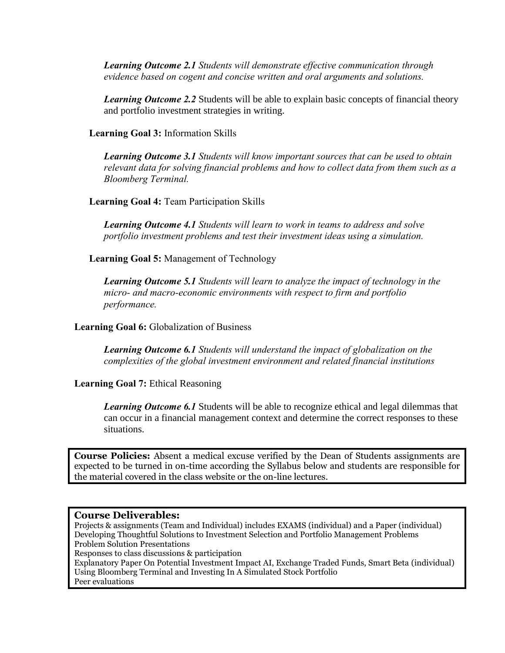*Learning Outcome 2.1 Students will demonstrate effective communication through evidence based on cogent and concise written and oral arguments and solutions.*

*Learning Outcome 2.2* Students will be able to explain basic concepts of financial theory and portfolio investment strategies in writing.

**Learning Goal 3:** Information Skills

*Learning Outcome 3.1 Students will know important sources that can be used to obtain relevant data for solving financial problems and how to collect data from them such as a Bloomberg Terminal.*

**Learning Goal 4:** Team Participation Skills

*Learning Outcome 4.1 Students will learn to work in teams to address and solve portfolio investment problems and test their investment ideas using a simulation.* 

**Learning Goal 5:** Management of Technology

*Learning Outcome 5.1 Students will learn to analyze the impact of technology in the micro- and macro-economic environments with respect to firm and portfolio performance.*

**Learning Goal 6:** Globalization of Business

*Learning Outcome 6.1 Students will understand the impact of globalization on the complexities of the global investment environment and related financial institutions*

**Learning Goal 7:** Ethical Reasoning

*Learning Outcome 6.1* Students will be able to recognize ethical and legal dilemmas that can occur in a financial management context and determine the correct responses to these situations.

**Course Policies:** Absent a medical excuse verified by the Dean of Students assignments are expected to be turned in on-time according the Syllabus below and students are responsible for the material covered in the class website or the on-line lectures.

#### **Course Deliverables:**

Projects & assignments (Team and Individual) includes EXAMS (individual) and a Paper (individual) Developing Thoughtful Solutions to Investment Selection and Portfolio Management Problems Problem Solution Presentations Responses to class discussions & participation Explanatory Paper On Potential Investment Impact AI, Exchange Traded Funds, Smart Beta (individual) Using Bloomberg Terminal and Investing In A Simulated Stock Portfolio Peer evaluations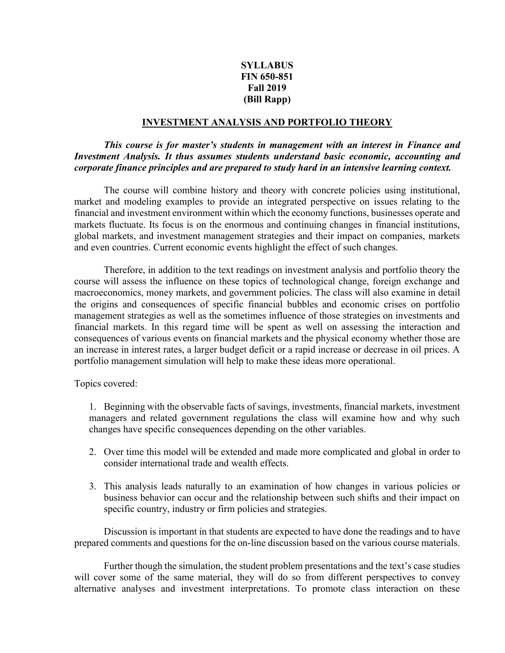## **SYLLABUS FIN 650-851 Fall 2019 (Bill Rapp)**

#### **INVESTMENT ANALYSIS AND PORTFOLIO THEORY**

#### *This course is for master's students in management with an interest in Finance and Investment Analysis. It thus assumes students understand basic economic, accounting and corporate finance principles and are prepared to study hard in an intensive learning context.*

The course will combine history and theory with concrete policies using institutional, market and modeling examples to provide an integrated perspective on issues relating to the financial and investment environment within which the economy functions, businesses operate and markets fluctuate. Its focus is on the enormous and continuing changes in financial institutions, global markets, and investment management strategies and their impact on companies, markets and even countries. Current economic events highlight the effect of such changes.

Therefore, in addition to the text readings on investment analysis and portfolio theory the course will assess the influence on these topics of technological change, foreign exchange and macroeconomics, money markets, and government policies. The class will also examine in detail the origins and consequences of specific financial bubbles and economic crises on portfolio management strategies as well as the sometimes influence of those strategies on investments and financial markets. In this regard time will be spent as well on assessing the interaction and consequences of various events on financial markets and the physical economy whether those are an increase in interest rates, a larger budget deficit or a rapid increase or decrease in oil prices. A portfolio management simulation will help to make these ideas more operational.

Topics covered:

1. Beginning with the observable facts of savings, investments, financial markets, investment managers and related government regulations the class will examine how and why such changes have specific consequences depending on the other variables.

- 2. Over time this model will be extended and made more complicated and global in order to consider international trade and wealth effects.
- 3. This analysis leads naturally to an examination of how changes in various policies or business behavior can occur and the relationship between such shifts and their impact on specific country, industry or firm policies and strategies.

Discussion is important in that students are expected to have done the readings and to have prepared comments and questions for the on-line discussion based on the various course materials.

Further though the simulation, the student problem presentations and the text's case studies will cover some of the same material, they will do so from different perspectives to convey alternative analyses and investment interpretations. To promote class interaction on these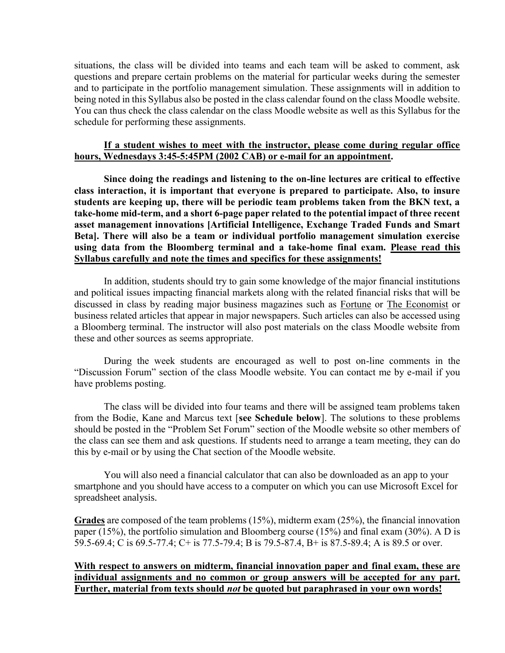situations, the class will be divided into teams and each team will be asked to comment, ask questions and prepare certain problems on the material for particular weeks during the semester and to participate in the portfolio management simulation. These assignments will in addition to being noted in this Syllabus also be posted in the class calendar found on the class Moodle website. You can thus check the class calendar on the class Moodle website as well as this Syllabus for the schedule for performing these assignments.

#### **If a student wishes to meet with the instructor, please come during regular office hours, Wednesdays 3:45-5:45PM (2002 CAB) or e-mail for an appointment.**

**Since doing the readings and listening to the on-line lectures are critical to effective class interaction, it is important that everyone is prepared to participate. Also, to insure students are keeping up, there will be periodic team problems taken from the BKN text, a take-home mid-term, and a short 6-page paper related to the potential impact of three recent asset management innovations [Artificial Intelligence, Exchange Traded Funds and Smart Beta]. There will also be a team or individual portfolio management simulation exercise using data from the Bloomberg terminal and a take-home final exam. Please read this Syllabus carefully and note the times and specifics for these assignments!**

In addition, students should try to gain some knowledge of the major financial institutions and political issues impacting financial markets along with the related financial risks that will be discussed in class by reading major business magazines such as Fortune or The Economist or business related articles that appear in major newspapers. Such articles can also be accessed using a Bloomberg terminal. The instructor will also post materials on the class Moodle website from these and other sources as seems appropriate.

During the week students are encouraged as well to post on-line comments in the "Discussion Forum" section of the class Moodle website. You can contact me by e-mail if you have problems posting.

The class will be divided into four teams and there will be assigned team problems taken from the Bodie, Kane and Marcus text [**see Schedule below**]. The solutions to these problems should be posted in the "Problem Set Forum" section of the Moodle website so other members of the class can see them and ask questions. If students need to arrange a team meeting, they can do this by e-mail or by using the Chat section of the Moodle website.

You will also need a financial calculator that can also be downloaded as an app to your smartphone and you should have access to a computer on which you can use Microsoft Excel for spreadsheet analysis.

**Grades** are composed of the team problems (15%), midterm exam (25%), the financial innovation paper (15%), the portfolio simulation and Bloomberg course (15%) and final exam (30%). A D is 59.5-69.4; C is 69.5-77.4; C+ is 77.5-79.4; B is 79.5-87.4, B+ is 87.5-89.4; A is 89.5 or over.

#### **With respect to answers on midterm, financial innovation paper and final exam, these are individual assignments and no common or group answers will be accepted for any part. Further, material from texts should** *not* **be quoted but paraphrased in your own words!**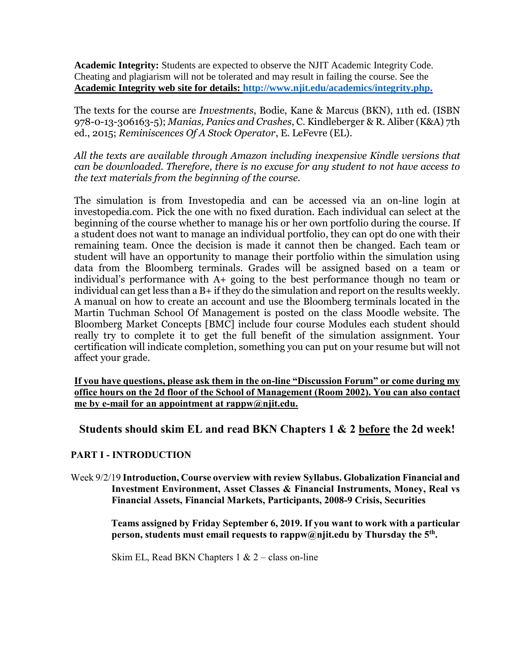**Academic Integrity:** Students are expected to observe the NJIT Academic Integrity Code. Cheating and plagiarism will not be tolerated and may result in failing the course. See the **Academic Integrity web site for details: [http://www.njit.edu/academics/integrity.php.](http://www.njit.edu/academics/integrity.php)**

The texts for the course are *Investments*, Bodie, Kane & Marcus (BKN), 11th ed. (ISBN 978-0-13-306163-5); *Manias, Panics and Crashes*, C. Kindleberger & R. Aliber (K&A) 7th ed., 2015; *Reminiscences Of A Stock Operator*, E. LeFevre (EL).

*All the texts are available through Amazon including inexpensive Kindle versions that can be downloaded. Therefore, there is no excuse for any student to not have access to the text materials from the beginning of the course.*

The simulation is from Investopedia and can be accessed via an on-line login at investopedia.com. Pick the one with no fixed duration. Each individual can select at the beginning of the course whether to manage his or her own portfolio during the course. If a student does not want to manage an individual portfolio, they can opt do one with their remaining team. Once the decision is made it cannot then be changed. Each team or student will have an opportunity to manage their portfolio within the simulation using data from the Bloomberg terminals. Grades will be assigned based on a team or individual's performance with A+ going to the best performance though no team or individual can get less than a B+ if they do the simulation and report on the results weekly. A manual on how to create an account and use the Bloomberg terminals located in the Martin Tuchman School Of Management is posted on the class Moodle website. The Bloomberg Market Concepts [BMC] include four course Modules each student should really try to complete it to get the full benefit of the simulation assignment. Your certification will indicate completion, something you can put on your resume but will not affect your grade.

**If you have questions, please ask them in the on-line "Discussion Forum" or come during my office hours on the 2d floor of the School of Management (Room 2002). You can also contact me by e-mail for an appointment at rappw@njit.edu.**

# **Students should skim EL and read BKN Chapters 1 & 2 before the 2d week!**

# **PART I - INTRODUCTION**

Week 9/2/19 **Introduction, Course overview with review Syllabus. Globalization Financial and Investment Environment, Asset Classes & Financial Instruments, Money, Real vs Financial Assets, Financial Markets, Participants, 2008-9 Crisis, Securities**

> **Teams assigned by Friday September 6, 2019. If you want to work with a particular person, students must email requests to rappw@njit.edu by Thursday the 5 th .**

Skim EL, Read BKN Chapters  $1 \& 2$  – class on-line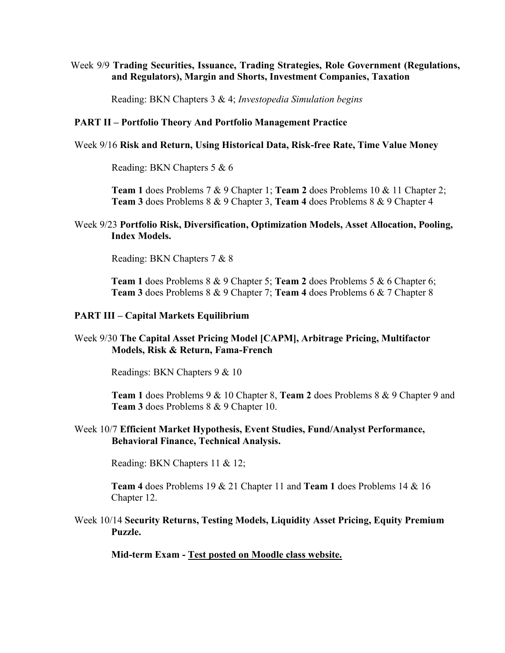#### Week 9/9 **Trading Securities, Issuance, Trading Strategies, Role Government (Regulations, and Regulators), Margin and Shorts, Investment Companies, Taxation**

Reading: BKN Chapters 3 & 4; *Investopedia Simulation begins*

#### **PART II – Portfolio Theory And Portfolio Management Practice**

#### Week 9/16 **Risk and Return, Using Historical Data, Risk-free Rate, Time Value Money**

Reading: BKN Chapters 5 & 6

**Team 1** does Problems 7 & 9 Chapter 1; **Team 2** does Problems 10 & 11 Chapter 2; **Team 3** does Problems 8 & 9 Chapter 3, **Team 4** does Problems 8 & 9 Chapter 4

#### Week 9/23 **Portfolio Risk, Diversification, Optimization Models, Asset Allocation, Pooling, Index Models.**

Reading: BKN Chapters 7 & 8

**Team 1** does Problems 8 & 9 Chapter 5; **Team 2** does Problems 5 & 6 Chapter 6; **Team 3** does Problems 8 & 9 Chapter 7; **Team 4** does Problems 6 & 7 Chapter 8

#### **PART III – Capital Markets Equilibrium**

#### Week 9/30 **The Capital Asset Pricing Model [CAPM], Arbitrage Pricing, Multifactor Models, Risk & Return, Fama-French**

Readings: BKN Chapters 9 & 10

**Team 1** does Problems 9 & 10 Chapter 8, **Team 2** does Problems 8 & 9 Chapter 9 and **Team 3** does Problems 8 & 9 Chapter 10.

#### Week 10/7 **Efficient Market Hypothesis, Event Studies, Fund/Analyst Performance, Behavioral Finance, Technical Analysis.**

Reading: BKN Chapters 11 & 12;

**Team 4** does Problems 19 & 21 Chapter 11 and **Team 1** does Problems 14 & 16 Chapter 12.

#### Week 10/14 **Security Returns, Testing Models, Liquidity Asset Pricing, Equity Premium Puzzle.**

**Mid-term Exam - Test posted on Moodle class website.**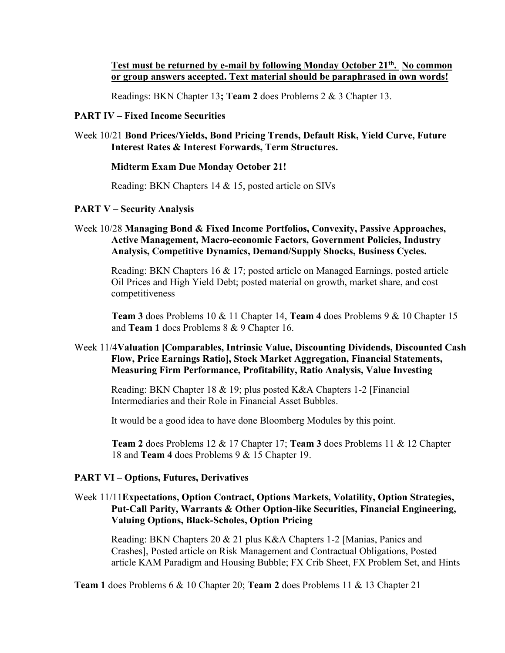#### Test must be returned by e-mail by following Monday October 21<sup>th</sup>. No common **or group answers accepted. Text material should be paraphrased in own words!**

Readings: BKN Chapter 13**; Team 2** does Problems 2 & 3 Chapter 13.

#### **PART IV – Fixed Income Securities**

Week 10/21 **Bond Prices/Yields, Bond Pricing Trends, Default Risk, Yield Curve, Future Interest Rates & Interest Forwards, Term Structures.**

#### **Midterm Exam Due Monday October 21!**

Reading: BKN Chapters 14 & 15, posted article on SIVs

#### **PART V – Security Analysis**

Week 10/28 **Managing Bond & Fixed Income Portfolios, Convexity, Passive Approaches, Active Management, Macro-economic Factors, Government Policies, Industry Analysis, Competitive Dynamics, Demand/Supply Shocks, Business Cycles.**

Reading: BKN Chapters 16 & 17; posted article on Managed Earnings, posted article Oil Prices and High Yield Debt; posted material on growth, market share, and cost competitiveness

**Team 3** does Problems 10 & 11 Chapter 14, **Team 4** does Problems 9 & 10 Chapter 15 and **Team 1** does Problems 8 & 9 Chapter 16.

#### Week 11/4**Valuation [Comparables, Intrinsic Value, Discounting Dividends, Discounted Cash Flow, Price Earnings Ratio], Stock Market Aggregation, Financial Statements, Measuring Firm Performance, Profitability, Ratio Analysis, Value Investing**

Reading: BKN Chapter 18 & 19; plus posted K&A Chapters 1-2 [Financial Intermediaries and their Role in Financial Asset Bubbles.

It would be a good idea to have done Bloomberg Modules by this point.

**Team 2** does Problems 12 & 17 Chapter 17; **Team 3** does Problems 11 & 12 Chapter 18 and **Team 4** does Problems 9 & 15 Chapter 19.

#### **PART VI – Options, Futures, Derivatives**

### Week 11/11**Expectations, Option Contract, Options Markets, Volatility, Option Strategies, Put-Call Parity, Warrants & Other Option-like Securities, Financial Engineering, Valuing Options, Black-Scholes, Option Pricing**

Reading: BKN Chapters 20 & 21 plus K&A Chapters 1-2 [Manias, Panics and Crashes], Posted article on Risk Management and Contractual Obligations, Posted article KAM Paradigm and Housing Bubble; FX Crib Sheet, FX Problem Set, and Hints

**Team 1** does Problems 6 & 10 Chapter 20; **Team 2** does Problems 11 & 13 Chapter 21